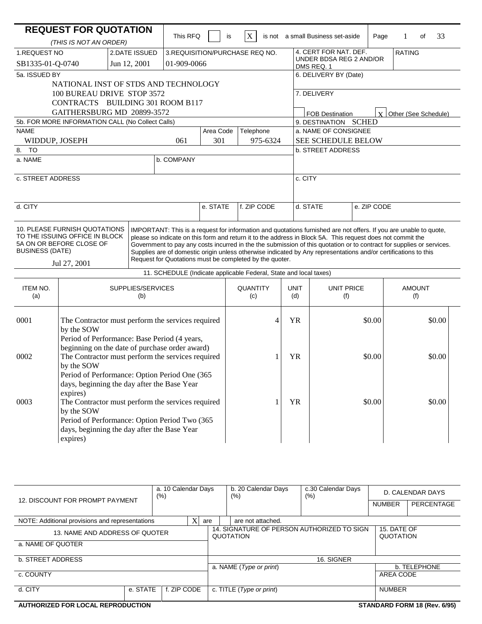| <b>REQUEST FOR QUOTATION</b>                                |                                                                                                                 |                   |                                                                   |          |             |                                        |                                                |                                                                                                            |                      |                                                                                                                       |  |  |
|-------------------------------------------------------------|-----------------------------------------------------------------------------------------------------------------|-------------------|-------------------------------------------------------------------|----------|-------------|----------------------------------------|------------------------------------------------|------------------------------------------------------------------------------------------------------------|----------------------|-----------------------------------------------------------------------------------------------------------------------|--|--|
| (THIS IS NOT AN ORDER)                                      |                                                                                                                 |                   | X<br>This RFQ<br>is                                               |          |             |                                        |                                                | is not a small Business set-aside                                                                          | Page                 | 33<br>οf                                                                                                              |  |  |
| 1.REQUEST NO                                                | 3.REQUISITION/PURCHASE REQ NO.                                                                                  |                   |                                                                   |          |             | 4. CERT FOR NAT. DEF.<br><b>RATING</b> |                                                |                                                                                                            |                      |                                                                                                                       |  |  |
| SB1335-01-Q-0740                                            |                                                                                                                 | Jun 12, 2001      | 01-909-0066                                                       |          |             |                                        |                                                | UNDER BDSA REG 2 AND/OR<br>DMS REQ. 1                                                                      |                      |                                                                                                                       |  |  |
| 5a. ISSUED BY                                               |                                                                                                                 |                   |                                                                   |          |             |                                        | 6. DELIVERY BY (Date)                          |                                                                                                            |                      |                                                                                                                       |  |  |
|                                                             | NATIONAL INST OF STDS AND TECHNOLOGY                                                                            |                   |                                                                   |          |             |                                        |                                                |                                                                                                            |                      |                                                                                                                       |  |  |
|                                                             | 100 BUREAU DRIVE STOP 3572                                                                                      |                   |                                                                   |          |             |                                        | 7. DELIVERY                                    |                                                                                                            |                      |                                                                                                                       |  |  |
|                                                             | CONTRACTS BUILDING 301 ROOM B117                                                                                |                   |                                                                   |          |             |                                        |                                                |                                                                                                            |                      |                                                                                                                       |  |  |
|                                                             | GAITHERSBURG MD 20899-3572                                                                                      |                   |                                                                   |          |             |                                        | <b>FOB Destination</b><br>Other (See Schedule) |                                                                                                            |                      |                                                                                                                       |  |  |
| <b>NAME</b>                                                 | 5b. FOR MORE INFORMATION CALL (No Collect Calls)                                                                |                   | Area Code<br>Telephone                                            |          |             |                                        |                                                | 9. DESTINATION SCHED<br>a. NAME OF CONSIGNEE                                                               |                      |                                                                                                                       |  |  |
| WIDDUP, JOSEPH                                              |                                                                                                                 |                   | 061                                                               |          | 975-6324    |                                        | <b>SEE SCHEDULE BELOW</b>                      |                                                                                                            |                      |                                                                                                                       |  |  |
| 8. TO                                                       |                                                                                                                 |                   | 301                                                               |          |             |                                        |                                                | b. STREET ADDRESS                                                                                          |                      |                                                                                                                       |  |  |
| a. NAME                                                     |                                                                                                                 |                   | b. COMPANY                                                        |          |             |                                        |                                                |                                                                                                            |                      |                                                                                                                       |  |  |
|                                                             |                                                                                                                 |                   |                                                                   |          |             |                                        |                                                |                                                                                                            |                      |                                                                                                                       |  |  |
| c. STREET ADDRESS                                           |                                                                                                                 |                   |                                                                   |          |             |                                        |                                                | c. CITY                                                                                                    |                      |                                                                                                                       |  |  |
|                                                             |                                                                                                                 |                   |                                                                   |          |             |                                        |                                                |                                                                                                            |                      |                                                                                                                       |  |  |
|                                                             |                                                                                                                 |                   |                                                                   |          |             |                                        |                                                |                                                                                                            |                      |                                                                                                                       |  |  |
| d. CITY                                                     |                                                                                                                 |                   |                                                                   | e. STATE | f. ZIP CODE |                                        |                                                | d. STATE                                                                                                   | e. ZIP CODE          |                                                                                                                       |  |  |
|                                                             |                                                                                                                 |                   |                                                                   |          |             |                                        |                                                |                                                                                                            |                      |                                                                                                                       |  |  |
|                                                             | 10. PLEASE FURNISH QUOTATIONS                                                                                   |                   |                                                                   |          |             |                                        |                                                |                                                                                                            |                      | IMPORTANT: This is a request for information and quotations furnished are not offers. If you are unable to quote,     |  |  |
|                                                             | TO THE ISSUING OFFICE IN BLOCK<br>5A ON OR BEFORE CLOSE OF                                                      |                   |                                                                   |          |             |                                        |                                                | please so indicate on this form and return it to the address in Block 5A. This request does not commit the |                      | Government to pay any costs incurred in the the submission of this quotation or to contract for supplies or services. |  |  |
| <b>BUSINESS (DATE)</b>                                      | Supplies are of domestic origin unless otherwise indicated by Any representations and/or certifications to this |                   |                                                                   |          |             |                                        |                                                |                                                                                                            |                      |                                                                                                                       |  |  |
| Jul 27, 2001                                                |                                                                                                                 |                   | Request for Quotations must be completed by the quoter.           |          |             |                                        |                                                |                                                                                                            |                      |                                                                                                                       |  |  |
|                                                             |                                                                                                                 |                   | 11. SCHEDULE (Indicate applicable Federal, State and local taxes) |          |             |                                        |                                                |                                                                                                            |                      |                                                                                                                       |  |  |
|                                                             |                                                                                                                 | SUPPLIES/SERVICES |                                                                   |          |             | <b>QUANTITY</b>                        |                                                |                                                                                                            | <b>UNIT PRICE</b>    |                                                                                                                       |  |  |
| ITEM NO.<br>(a)                                             |                                                                                                                 |                   |                                                                   |          | (c)         | <b>UNIT</b><br>(d)                     | (f)                                            |                                                                                                            | <b>AMOUNT</b><br>(f) |                                                                                                                       |  |  |
|                                                             |                                                                                                                 | (b)               |                                                                   |          |             |                                        |                                                |                                                                                                            |                      |                                                                                                                       |  |  |
|                                                             |                                                                                                                 |                   |                                                                   |          |             |                                        |                                                |                                                                                                            |                      |                                                                                                                       |  |  |
| 0001                                                        |                                                                                                                 |                   | The Contractor must perform the services required                 |          |             | 4                                      |                                                | <b>YR</b>                                                                                                  | \$0.00               | \$0.00                                                                                                                |  |  |
|                                                             | by the SOW<br>Period of Performance: Base Period (4 years,                                                      |                   |                                                                   |          |             |                                        |                                                |                                                                                                            |                      |                                                                                                                       |  |  |
|                                                             |                                                                                                                 |                   |                                                                   |          |             |                                        |                                                |                                                                                                            |                      |                                                                                                                       |  |  |
| 0002                                                        | beginning on the date of purchase order award)<br>The Contractor must perform the services required             |                   |                                                                   |          |             |                                        | <b>YR</b>                                      |                                                                                                            | \$0.00               | \$0.00                                                                                                                |  |  |
|                                                             | by the SOW                                                                                                      |                   |                                                                   |          |             |                                        |                                                |                                                                                                            |                      |                                                                                                                       |  |  |
|                                                             | Period of Performance: Option Period One (365                                                                   |                   |                                                                   |          |             |                                        |                                                |                                                                                                            |                      |                                                                                                                       |  |  |
|                                                             | days, beginning the day after the Base Year                                                                     |                   |                                                                   |          |             |                                        |                                                |                                                                                                            |                      |                                                                                                                       |  |  |
|                                                             | expires)                                                                                                        |                   |                                                                   |          |             |                                        |                                                |                                                                                                            |                      |                                                                                                                       |  |  |
| 0003                                                        | The Contractor must perform the services required                                                               |                   |                                                                   |          |             | 1                                      | <b>YR</b>                                      |                                                                                                            | \$0.00               | \$0.00                                                                                                                |  |  |
| by the SOW<br>Period of Performance: Option Period Two (365 |                                                                                                                 |                   |                                                                   |          |             |                                        |                                                |                                                                                                            |                      |                                                                                                                       |  |  |
|                                                             | days, beginning the day after the Base Year<br>expires)                                                         |                   |                                                                   |          |             |                                        |                                                |                                                                                                            |                      |                                                                                                                       |  |  |
|                                                             |                                                                                                                 |                   |                                                                   |          |             |                                        |                                                |                                                                                                            |                      |                                                                                                                       |  |  |
|                                                             |                                                                                                                 |                   |                                                                   |          |             |                                        |                                                |                                                                                                            |                      |                                                                                                                       |  |  |
|                                                             |                                                                                                                 |                   |                                                                   |          |             |                                        |                                                |                                                                                                            |                      |                                                                                                                       |  |  |
|                                                             |                                                                                                                 |                   |                                                                   |          |             |                                        |                                                |                                                                                                            |                      |                                                                                                                       |  |  |
|                                                             |                                                                                                                 |                   |                                                                   |          |             |                                        |                                                |                                                                                                            |                      |                                                                                                                       |  |  |

|                                                                   |          | a. 10 Calendar Days<br>(% ) |     | b. 20 Calendar Days<br>(% )                             | c.30 Calendar Days<br>(% ) | D. CALENDAR DAYS |                   |  |  |  |  |
|-------------------------------------------------------------------|----------|-----------------------------|-----|---------------------------------------------------------|----------------------------|------------------|-------------------|--|--|--|--|
| 12. DISCOUNT FOR PROMPT PAYMENT                                   |          |                             |     |                                                         |                            | <b>NUMBER</b>    | <b>PERCENTAGE</b> |  |  |  |  |
| NOTE: Additional provisions and representations                   |          | X                           | are | are not attached.                                       |                            |                  |                   |  |  |  |  |
| 13. NAME AND ADDRESS OF QUOTER                                    |          |                             |     | 14. SIGNATURE OF PERSON AUTHORIZED TO SIGN<br>QUOTATION | 15. DATE OF<br>QUOTATION   |                  |                   |  |  |  |  |
| a. NAME OF QUOTER                                                 |          |                             |     |                                                         |                            |                  |                   |  |  |  |  |
| b. STREET ADDRESS                                                 |          |                             |     | 16. SIGNER                                              |                            |                  |                   |  |  |  |  |
|                                                                   |          |                             |     | a. NAME ( <i>Type or print</i> )                        | b. TELEPHONE               |                  |                   |  |  |  |  |
| c. COUNTY                                                         |          |                             |     |                                                         | AREA CODE                  |                  |                   |  |  |  |  |
| d. CITY                                                           | e. STATE | f. ZIP CODE                 |     | <b>NUMBER</b><br>c. TITLE (Type or print)               |                            |                  |                   |  |  |  |  |
| AUTHORIZED FOR LOCAL REPRODUCTION<br>STANDARD FORM 18 (Rev. 6/95) |          |                             |     |                                                         |                            |                  |                   |  |  |  |  |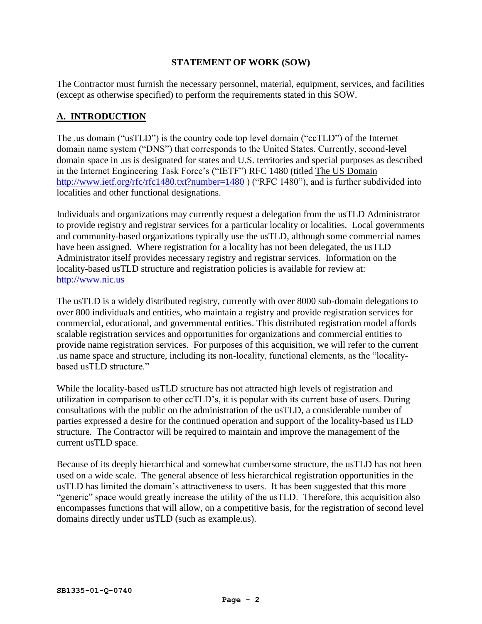### **STATEMENT OF WORK (SOW)**

The Contractor must furnish the necessary personnel, material, equipment, services, and facilities (except as otherwise specified) to perform the requirements stated in this SOW.

## **A. INTRODUCTION**

The .us domain ( $"u$ sTLD") is the country code top level domain ( $"ccTLD"$ ) of the Internet domain name system ("DNS") that corresponds to the United States. Currently, second-level domain space in .us is designated for states and U.S. territories and special purposes as described in the Internet Engineering Task Force's ("IETF") RFC 1480 (titled The US Domain <http://www.ietf.org/rfc/rfc1480.txt?number=1480> ) ("RFC 1480"), and is further subdivided into localities and other functional designations.

Individuals and organizations may currently request a delegation from the usTLD Administrator to provide registry and registrar services for a particular locality or localities. Local governments and community-based organizations typically use the usTLD, although some commercial names have been assigned. Where registration for a locality has not been delegated, the usTLD Administrator itself provides necessary registry and registrar services. Information on the locality-based usTLD structure and registration policies is available for review at: [http://www.nic.us](http://www.nic.us/)

The usTLD is a widely distributed registry, currently with over 8000 sub-domain delegations to over 800 individuals and entities, who maintain a registry and provide registration services for commercial, educational, and governmental entities. This distributed registration model affords scalable registration services and opportunities for organizations and commercial entities to provide name registration services. For purposes of this acquisition, we will refer to the current us name space and structure, including its non-locality, functional elements, as the "localitybased usTLD structure."

While the locality-based usTLD structure has not attracted high levels of registration and utilization in comparison to other ccTLD's, it is popular with its current base of users. During consultations with the public on the administration of the usTLD, a considerable number of parties expressed a desire for the continued operation and support of the locality-based usTLD structure. The Contractor will be required to maintain and improve the management of the current usTLD space.

Because of its deeply hierarchical and somewhat cumbersome structure, the usTLD has not been used on a wide scale. The general absence of less hierarchical registration opportunities in the usTLD has limited the domain's attractiveness to users. It has been suggested that this more "generic" space would greatly increase the utility of the usTLD. Therefore, this acquisition also encompasses functions that will allow, on a competitive basis, for the registration of second level domains directly under usTLD (such as example.us).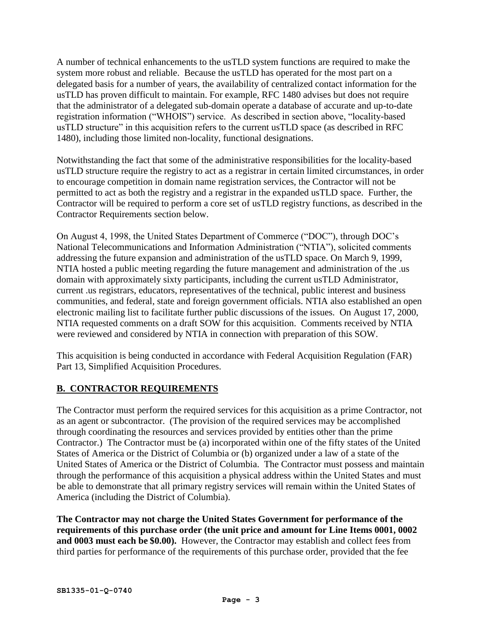A number of technical enhancements to the usTLD system functions are required to make the system more robust and reliable. Because the usTLD has operated for the most part on a delegated basis for a number of years, the availability of centralized contact information for the usTLD has proven difficult to maintain. For example, RFC 1480 advises but does not require that the administrator of a delegated sub-domain operate a database of accurate and up-to-date registration information ("WHOIS") service. As described in section above, "locality-based usTLD structure" in this acquisition refers to the current usTLD space (as described in RFC 1480), including those limited non-locality, functional designations.

Notwithstanding the fact that some of the administrative responsibilities for the locality-based usTLD structure require the registry to act as a registrar in certain limited circumstances, in order to encourage competition in domain name registration services, the Contractor will not be permitted to act as both the registry and a registrar in the expanded usTLD space. Further, the Contractor will be required to perform a core set of usTLD registry functions, as described in the Contractor Requirements section below.

On August 4, 1998, the United States Department of Commerce ("DOC"), through DOC's National Telecommunications and Information Administration ("NTIA"), solicited comments addressing the future expansion and administration of the usTLD space. On March 9, 1999, NTIA hosted a public meeting regarding the future management and administration of the .us domain with approximately sixty participants, including the current usTLD Administrator, current .us registrars, educators, representatives of the technical, public interest and business communities, and federal, state and foreign government officials. NTIA also established an open electronic mailing list to facilitate further public discussions of the issues. On August 17, 2000, NTIA requested comments on a draft SOW for this acquisition. Comments received by NTIA were reviewed and considered by NTIA in connection with preparation of this SOW.

This acquisition is being conducted in accordance with Federal Acquisition Regulation (FAR) Part 13, Simplified Acquisition Procedures.

# **B. CONTRACTOR REQUIREMENTS**

The Contractor must perform the required services for this acquisition as a prime Contractor, not as an agent or subcontractor. (The provision of the required services may be accomplished through coordinating the resources and services provided by entities other than the prime Contractor.) The Contractor must be (a) incorporated within one of the fifty states of the United States of America or the District of Columbia or (b) organized under a law of a state of the United States of America or the District of Columbia. The Contractor must possess and maintain through the performance of this acquisition a physical address within the United States and must be able to demonstrate that all primary registry services will remain within the United States of America (including the District of Columbia).

**The Contractor may not charge the United States Government for performance of the requirements of this purchase order (the unit price and amount for Line Items 0001, 0002 and 0003 must each be \$0.00).** However, the Contractor may establish and collect fees from third parties for performance of the requirements of this purchase order, provided that the fee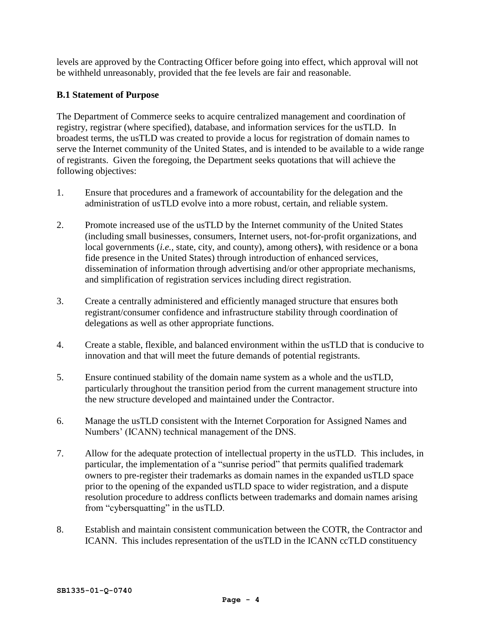levels are approved by the Contracting Officer before going into effect, which approval will not be withheld unreasonably, provided that the fee levels are fair and reasonable.

### **B.1 Statement of Purpose**

The Department of Commerce seeks to acquire centralized management and coordination of registry, registrar (where specified), database, and information services for the usTLD. In broadest terms, the usTLD was created to provide a locus for registration of domain names to serve the Internet community of the United States, and is intended to be available to a wide range of registrants. Given the foregoing, the Department seeks quotations that will achieve the following objectives:

- 1. Ensure that procedures and a framework of accountability for the delegation and the administration of usTLD evolve into a more robust, certain, and reliable system.
- 2. Promote increased use of the usTLD by the Internet community of the United States (including small businesses, consumers, Internet users, not-for-profit organizations, and local governments (*i.e.,* state, city, and county), among others**)**, with residence or a bona fide presence in the United States) through introduction of enhanced services, dissemination of information through advertising and/or other appropriate mechanisms, and simplification of registration services including direct registration.
- 3. Create a centrally administered and efficiently managed structure that ensures both registrant/consumer confidence and infrastructure stability through coordination of delegations as well as other appropriate functions.
- 4. Create a stable, flexible, and balanced environment within the usTLD that is conducive to innovation and that will meet the future demands of potential registrants.
- 5. Ensure continued stability of the domain name system as a whole and the usTLD, particularly throughout the transition period from the current management structure into the new structure developed and maintained under the Contractor.
- 6. Manage the usTLD consistent with the Internet Corporation for Assigned Names and Numbers' (ICANN) technical management of the DNS.
- 7. Allow for the adequate protection of intellectual property in the usTLD. This includes, in particular, the implementation of a "sunrise period" that permits qualified trademark owners to pre-register their trademarks as domain names in the expanded usTLD space prior to the opening of the expanded usTLD space to wider registration, and a dispute resolution procedure to address conflicts between trademarks and domain names arising from "cybersquatting" in the usTLD.
- 8. Establish and maintain consistent communication between the COTR, the Contractor and ICANN. This includes representation of the usTLD in the ICANN ccTLD constituency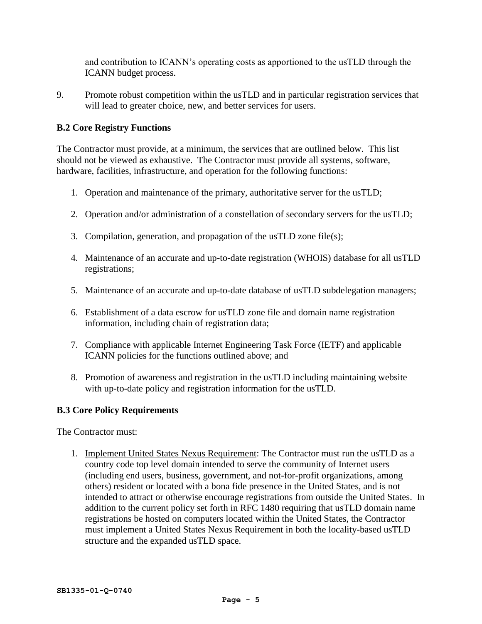and contribution to ICANN's operating costs as apportioned to the usTLD through the ICANN budget process.

9. Promote robust competition within the usTLD and in particular registration services that will lead to greater choice, new, and better services for users.

## **B.2 Core Registry Functions**

The Contractor must provide, at a minimum, the services that are outlined below. This list should not be viewed as exhaustive. The Contractor must provide all systems, software, hardware, facilities, infrastructure, and operation for the following functions:

- 1. Operation and maintenance of the primary, authoritative server for the usTLD;
- 2. Operation and/or administration of a constellation of secondary servers for the usTLD;
- 3. Compilation, generation, and propagation of the usTLD zone file(s);
- 4. Maintenance of an accurate and up-to-date registration (WHOIS) database for all usTLD registrations;
- 5. Maintenance of an accurate and up-to-date database of usTLD subdelegation managers;
- 6. Establishment of a data escrow for usTLD zone file and domain name registration information, including chain of registration data;
- 7. Compliance with applicable Internet Engineering Task Force (IETF) and applicable ICANN policies for the functions outlined above; and
- 8. Promotion of awareness and registration in the usTLD including maintaining website with up-to-date policy and registration information for the usTLD.

#### **B.3 Core Policy Requirements**

The Contractor must:

1. Implement United States Nexus Requirement: The Contractor must run the usTLD as a country code top level domain intended to serve the community of Internet users (including end users, business, government, and not-for-profit organizations, among others) resident or located with a bona fide presence in the United States, and is not intended to attract or otherwise encourage registrations from outside the United States. In addition to the current policy set forth in RFC 1480 requiring that usTLD domain name registrations be hosted on computers located within the United States, the Contractor must implement a United States Nexus Requirement in both the locality-based usTLD structure and the expanded usTLD space.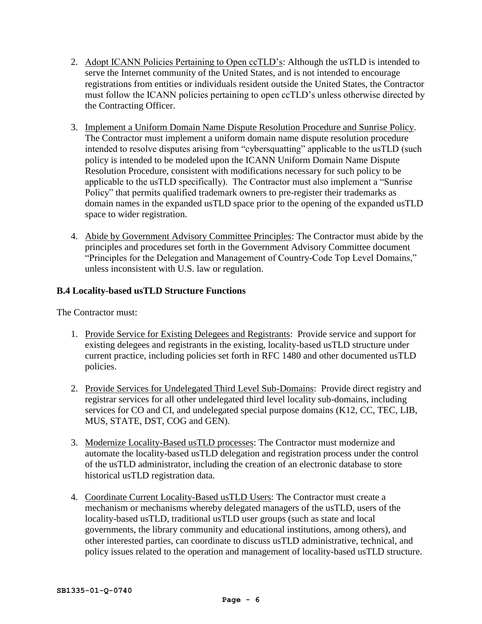- 2. Adopt ICANN Policies Pertaining to Open ccTLD's: Although the usTLD is intended to serve the Internet community of the United States, and is not intended to encourage registrations from entities or individuals resident outside the United States, the Contractor must follow the ICANN policies pertaining to open ccTLD's unless otherwise directed by the Contracting Officer.
- 3. Implement a Uniform Domain Name Dispute Resolution Procedure and Sunrise Policy. The Contractor must implement a uniform domain name dispute resolution procedure intended to resolve disputes arising from "cybersquatting" applicable to the usTLD (such policy is intended to be modeled upon the ICANN Uniform Domain Name Dispute Resolution Procedure, consistent with modifications necessary for such policy to be applicable to the usTLD specifically). The Contractor must also implement a "Sunrise" Policy" that permits qualified trademark owners to pre-register their trademarks as domain names in the expanded usTLD space prior to the opening of the expanded usTLD space to wider registration.
- 4. Abide by Government Advisory Committee Principles: The Contractor must abide by the principles and procedures set forth in the Government Advisory Committee document "Principles for the Delegation and Management of Country-Code Top Level Domains," unless inconsistent with U.S. law or regulation.

## **B.4 Locality-based usTLD Structure Functions**

The Contractor must:

- 1. Provide Service for Existing Delegees and Registrants: Provide service and support for existing delegees and registrants in the existing, locality-based usTLD structure under current practice, including policies set forth in RFC 1480 and other documented usTLD policies.
- 2. Provide Services for Undelegated Third Level Sub-Domains: Provide direct registry and registrar services for all other undelegated third level locality sub-domains, including services for CO and CI, and undelegated special purpose domains (K12, CC, TEC, LIB, MUS, STATE, DST, COG and GEN).
- 3. Modernize Locality-Based usTLD processes: The Contractor must modernize and automate the locality-based usTLD delegation and registration process under the control of the usTLD administrator, including the creation of an electronic database to store historical usTLD registration data.
- 4. Coordinate Current Locality-Based usTLD Users: The Contractor must create a mechanism or mechanisms whereby delegated managers of the usTLD, users of the locality-based usTLD, traditional usTLD user groups (such as state and local governments, the library community and educational institutions, among others), and other interested parties, can coordinate to discuss usTLD administrative, technical, and policy issues related to the operation and management of locality-based usTLD structure.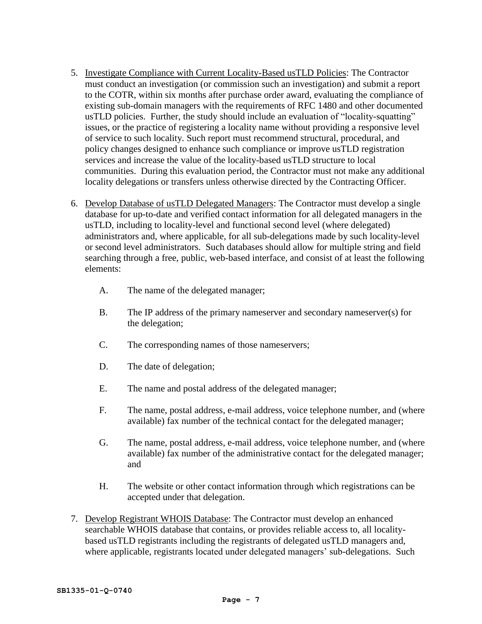- 5. Investigate Compliance with Current Locality-Based usTLD Policies: The Contractor must conduct an investigation (or commission such an investigation) and submit a report to the COTR, within six months after purchase order award, evaluating the compliance of existing sub-domain managers with the requirements of RFC 1480 and other documented usTLD policies. Further, the study should include an evaluation of "locality-squatting" issues, or the practice of registering a locality name without providing a responsive level of service to such locality. Such report must recommend structural, procedural, and policy changes designed to enhance such compliance or improve usTLD registration services and increase the value of the locality-based usTLD structure to local communities. During this evaluation period, the Contractor must not make any additional locality delegations or transfers unless otherwise directed by the Contracting Officer.
- 6. Develop Database of usTLD Delegated Managers: The Contractor must develop a single database for up-to-date and verified contact information for all delegated managers in the usTLD, including to locality-level and functional second level (where delegated) administrators and, where applicable, for all sub-delegations made by such locality-level or second level administrators. Such databases should allow for multiple string and field searching through a free, public, web-based interface, and consist of at least the following elements:
	- A. The name of the delegated manager;
	- B. The IP address of the primary nameserver and secondary nameserver(s) for the delegation;
	- C. The corresponding names of those nameservers;
	- D. The date of delegation;
	- E. The name and postal address of the delegated manager;
	- F. The name, postal address, e-mail address, voice telephone number, and (where available) fax number of the technical contact for the delegated manager;
	- G. The name, postal address, e-mail address, voice telephone number, and (where available) fax number of the administrative contact for the delegated manager; and
	- H. The website or other contact information through which registrations can be accepted under that delegation.
- 7. Develop Registrant WHOIS Database: The Contractor must develop an enhanced searchable WHOIS database that contains, or provides reliable access to, all localitybased usTLD registrants including the registrants of delegated usTLD managers and, where applicable, registrants located under delegated managers' sub-delegations.Such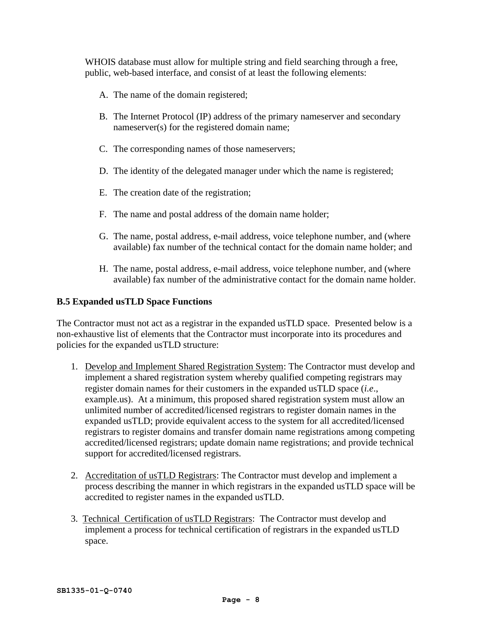WHOIS database must allow for multiple string and field searching through a free, public, web-based interface, and consist of at least the following elements:

- A. The name of the domain registered;
- B. The Internet Protocol (IP) address of the primary nameserver and secondary nameserver(s) for the registered domain name;
- C. The corresponding names of those nameservers;
- D. The identity of the delegated manager under which the name is registered;
- E. The creation date of the registration;
- F. The name and postal address of the domain name holder;
- G. The name, postal address, e-mail address, voice telephone number, and (where available) fax number of the technical contact for the domain name holder; and
- H. The name, postal address, e-mail address, voice telephone number, and (where available) fax number of the administrative contact for the domain name holder.

### **B.5 Expanded usTLD Space Functions**

The Contractor must not act as a registrar in the expanded usTLD space. Presented below is a non-exhaustive list of elements that the Contractor must incorporate into its procedures and policies for the expanded usTLD structure:

- 1. Develop and Implement Shared Registration System: The Contractor must develop and implement a shared registration system whereby qualified competing registrars may register domain names for their customers in the expanded usTLD space (*i.e*., example.us). At a minimum, this proposed shared registration system must allow an unlimited number of accredited/licensed registrars to register domain names in the expanded usTLD; provide equivalent access to the system for all accredited/licensed registrars to register domains and transfer domain name registrations among competing accredited/licensed registrars; update domain name registrations; and provide technical support for accredited/licensed registrars.
- 2. Accreditation of usTLD Registrars: The Contractor must develop and implement a process describing the manner in which registrars in the expanded usTLD space will be accredited to register names in the expanded usTLD.
- 3. Technical Certification of usTLD Registrars: The Contractor must develop and implement a process for technical certification of registrars in the expanded usTLD space.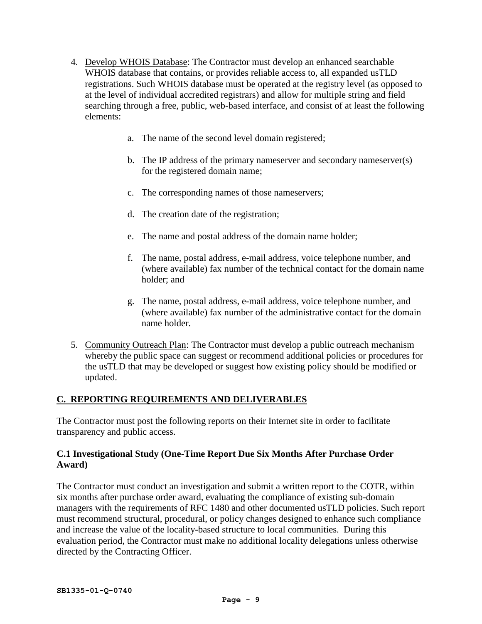- 4. Develop WHOIS Database: The Contractor must develop an enhanced searchable WHOIS database that contains, or provides reliable access to, all expanded usTLD registrations. Such WHOIS database must be operated at the registry level (as opposed to at the level of individual accredited registrars) and allow for multiple string and field searching through a free, public, web-based interface, and consist of at least the following elements:
	- a. The name of the second level domain registered;
	- b. The IP address of the primary nameserver and secondary nameserver(s) for the registered domain name;
	- c. The corresponding names of those nameservers;
	- d. The creation date of the registration;
	- e. The name and postal address of the domain name holder;
	- f. The name, postal address, e-mail address, voice telephone number, and (where available) fax number of the technical contact for the domain name holder; and
	- g. The name, postal address, e-mail address, voice telephone number, and (where available) fax number of the administrative contact for the domain name holder.
- 5. Community Outreach Plan: The Contractor must develop a public outreach mechanism whereby the public space can suggest or recommend additional policies or procedures for the usTLD that may be developed or suggest how existing policy should be modified or updated.

## **C. REPORTING REQUIREMENTS AND DELIVERABLES**

The Contractor must post the following reports on their Internet site in order to facilitate transparency and public access.

### **C.1 Investigational Study (One-Time Report Due Six Months After Purchase Order Award)**

The Contractor must conduct an investigation and submit a written report to the COTR, within six months after purchase order award, evaluating the compliance of existing sub-domain managers with the requirements of RFC 1480 and other documented usTLD policies. Such report must recommend structural, procedural, or policy changes designed to enhance such compliance and increase the value of the locality-based structure to local communities. During this evaluation period, the Contractor must make no additional locality delegations unless otherwise directed by the Contracting Officer.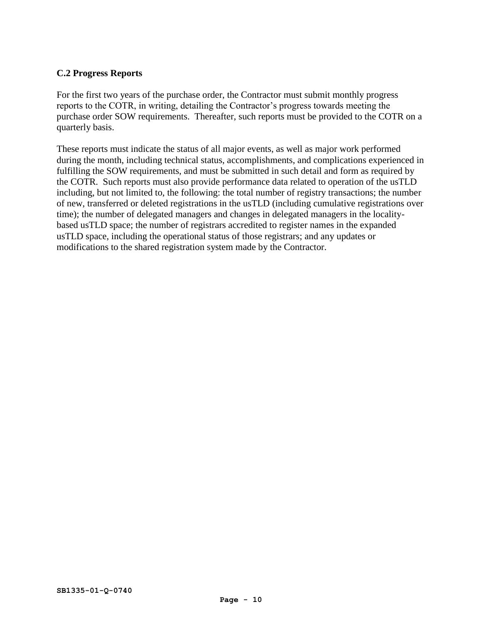### **C.2 Progress Reports**

For the first two years of the purchase order, the Contractor must submit monthly progress reports to the COTR, in writing, detailing the Contractor's progress towards meeting the purchase order SOW requirements. Thereafter, such reports must be provided to the COTR on a quarterly basis.

These reports must indicate the status of all major events, as well as major work performed during the month, including technical status, accomplishments, and complications experienced in fulfilling the SOW requirements, and must be submitted in such detail and form as required by the COTR. Such reports must also provide performance data related to operation of the usTLD including, but not limited to, the following: the total number of registry transactions; the number of new, transferred or deleted registrations in the usTLD (including cumulative registrations over time); the number of delegated managers and changes in delegated managers in the localitybased usTLD space; the number of registrars accredited to register names in the expanded usTLD space, including the operational status of those registrars; and any updates or modifications to the shared registration system made by the Contractor.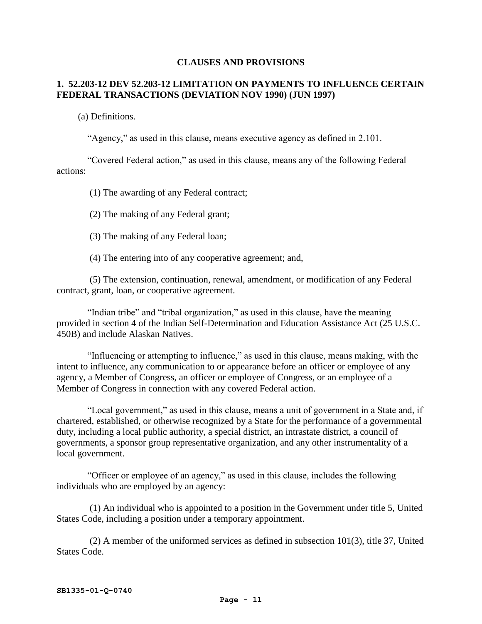#### **CLAUSES AND PROVISIONS**

### **1. 52.203-12 DEV 52.203-12 LIMITATION ON PAYMENTS TO INFLUENCE CERTAIN FEDERAL TRANSACTIONS (DEVIATION NOV 1990) (JUN 1997)**

(a) Definitions.

"Agency," as used in this clause, means executive agency as defined in 2.101.

 ―Covered Federal action,‖ as used in this clause, means any of the following Federal actions:

(1) The awarding of any Federal contract;

(2) The making of any Federal grant;

(3) The making of any Federal loan;

(4) The entering into of any cooperative agreement; and,

 (5) The extension, continuation, renewal, amendment, or modification of any Federal contract, grant, loan, or cooperative agreement.

"Indian tribe" and "tribal organization," as used in this clause, have the meaning provided in section 4 of the Indian Self-Determination and Education Assistance Act (25 U.S.C. 450B) and include Alaskan Natives.

"Influencing or attempting to influence," as used in this clause, means making, with the intent to influence, any communication to or appearance before an officer or employee of any agency, a Member of Congress, an officer or employee of Congress, or an employee of a Member of Congress in connection with any covered Federal action.

 ―Local government,‖ as used in this clause, means a unit of government in a State and, if chartered, established, or otherwise recognized by a State for the performance of a governmental duty, including a local public authority, a special district, an intrastate district, a council of governments, a sponsor group representative organization, and any other instrumentality of a local government.

 ―Officer or employee of an agency,‖ as used in this clause, includes the following individuals who are employed by an agency:

 (1) An individual who is appointed to a position in the Government under title 5, United States Code, including a position under a temporary appointment.

 (2) A member of the uniformed services as defined in subsection 101(3), title 37, United States Code.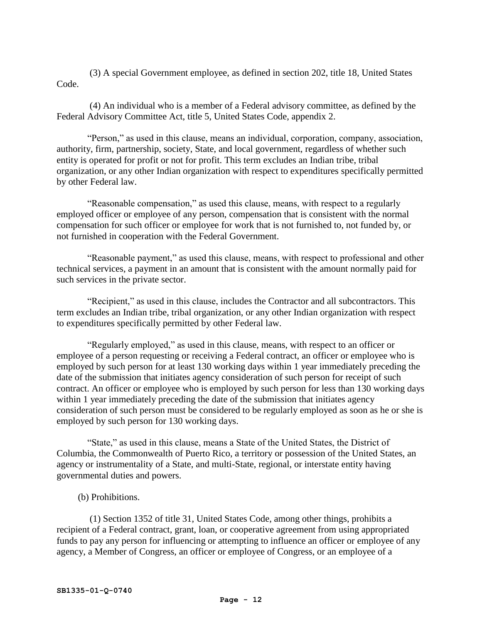(3) A special Government employee, as defined in section 202, title 18, United States Code.

 (4) An individual who is a member of a Federal advisory committee, as defined by the Federal Advisory Committee Act, title 5, United States Code, appendix 2.

"Person," as used in this clause, means an individual, corporation, company, association, authority, firm, partnership, society, State, and local government, regardless of whether such entity is operated for profit or not for profit. This term excludes an Indian tribe, tribal organization, or any other Indian organization with respect to expenditures specifically permitted by other Federal law.

"Reasonable compensation," as used this clause, means, with respect to a regularly employed officer or employee of any person, compensation that is consistent with the normal compensation for such officer or employee for work that is not furnished to, not funded by, or not furnished in cooperation with the Federal Government.

"Reasonable payment," as used this clause, means, with respect to professional and other technical services, a payment in an amount that is consistent with the amount normally paid for such services in the private sector.

"Recipient," as used in this clause, includes the Contractor and all subcontractors. This term excludes an Indian tribe, tribal organization, or any other Indian organization with respect to expenditures specifically permitted by other Federal law.

 ―Regularly employed,‖ as used in this clause, means, with respect to an officer or employee of a person requesting or receiving a Federal contract, an officer or employee who is employed by such person for at least 130 working days within 1 year immediately preceding the date of the submission that initiates agency consideration of such person for receipt of such contract. An officer or employee who is employed by such person for less than 130 working days within 1 year immediately preceding the date of the submission that initiates agency consideration of such person must be considered to be regularly employed as soon as he or she is employed by such person for 130 working days.

"State," as used in this clause, means a State of the United States, the District of Columbia, the Commonwealth of Puerto Rico, a territory or possession of the United States, an agency or instrumentality of a State, and multi-State, regional, or interstate entity having governmental duties and powers.

#### (b) Prohibitions.

 (1) Section 1352 of title 31, United States Code, among other things, prohibits a recipient of a Federal contract, grant, loan, or cooperative agreement from using appropriated funds to pay any person for influencing or attempting to influence an officer or employee of any agency, a Member of Congress, an officer or employee of Congress, or an employee of a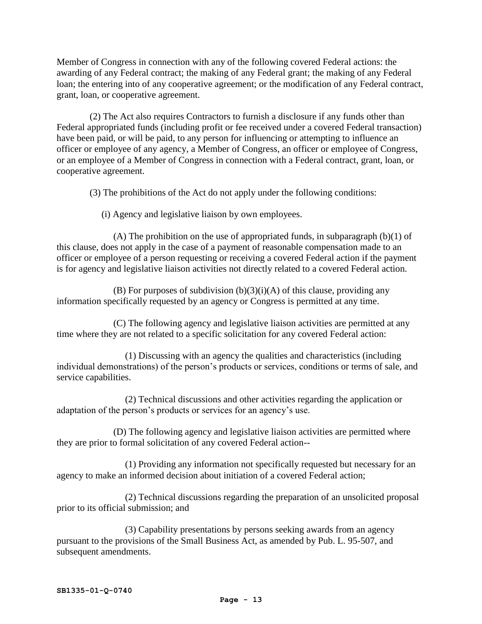Member of Congress in connection with any of the following covered Federal actions: the awarding of any Federal contract; the making of any Federal grant; the making of any Federal loan; the entering into of any cooperative agreement; or the modification of any Federal contract, grant, loan, or cooperative agreement.

 (2) The Act also requires Contractors to furnish a disclosure if any funds other than Federal appropriated funds (including profit or fee received under a covered Federal transaction) have been paid, or will be paid, to any person for influencing or attempting to influence an officer or employee of any agency, a Member of Congress, an officer or employee of Congress, or an employee of a Member of Congress in connection with a Federal contract, grant, loan, or cooperative agreement.

(3) The prohibitions of the Act do not apply under the following conditions:

(i) Agency and legislative liaison by own employees.

(A) The prohibition on the use of appropriated funds, in subparagraph  $(b)(1)$  of this clause, does not apply in the case of a payment of reasonable compensation made to an officer or employee of a person requesting or receiving a covered Federal action if the payment is for agency and legislative liaison activities not directly related to a covered Federal action.

(B) For purposes of subdivision  $(b)(3)(i)(A)$  of this clause, providing any information specifically requested by an agency or Congress is permitted at any time.

 (C) The following agency and legislative liaison activities are permitted at any time where they are not related to a specific solicitation for any covered Federal action:

 (1) Discussing with an agency the qualities and characteristics (including individual demonstrations) of the person's products or services, conditions or terms of sale, and service capabilities.

 (2) Technical discussions and other activities regarding the application or adaptation of the person's products or services for an agency's use.

 (D) The following agency and legislative liaison activities are permitted where they are prior to formal solicitation of any covered Federal action--

 (1) Providing any information not specifically requested but necessary for an agency to make an informed decision about initiation of a covered Federal action;

 (2) Technical discussions regarding the preparation of an unsolicited proposal prior to its official submission; and

 (3) Capability presentations by persons seeking awards from an agency pursuant to the provisions of the Small Business Act, as amended by Pub. L. 95-507, and subsequent amendments.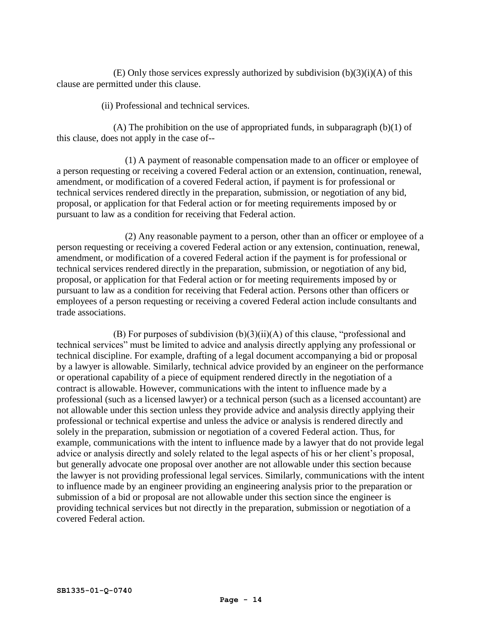(E) Only those services expressly authorized by subdivision  $(b)(3)(i)(A)$  of this clause are permitted under this clause.

(ii) Professional and technical services.

(A) The prohibition on the use of appropriated funds, in subparagraph  $(b)(1)$  of this clause, does not apply in the case of--

 (1) A payment of reasonable compensation made to an officer or employee of a person requesting or receiving a covered Federal action or an extension, continuation, renewal, amendment, or modification of a covered Federal action, if payment is for professional or technical services rendered directly in the preparation, submission, or negotiation of any bid, proposal, or application for that Federal action or for meeting requirements imposed by or pursuant to law as a condition for receiving that Federal action.

 (2) Any reasonable payment to a person, other than an officer or employee of a person requesting or receiving a covered Federal action or any extension, continuation, renewal, amendment, or modification of a covered Federal action if the payment is for professional or technical services rendered directly in the preparation, submission, or negotiation of any bid, proposal, or application for that Federal action or for meeting requirements imposed by or pursuant to law as a condition for receiving that Federal action. Persons other than officers or employees of a person requesting or receiving a covered Federal action include consultants and trade associations.

(B) For purposes of subdivision  $(b)(3)(ii)(A)$  of this clause, "professional and technical services" must be limited to advice and analysis directly applying any professional or technical discipline. For example, drafting of a legal document accompanying a bid or proposal by a lawyer is allowable. Similarly, technical advice provided by an engineer on the performance or operational capability of a piece of equipment rendered directly in the negotiation of a contract is allowable. However, communications with the intent to influence made by a professional (such as a licensed lawyer) or a technical person (such as a licensed accountant) are not allowable under this section unless they provide advice and analysis directly applying their professional or technical expertise and unless the advice or analysis is rendered directly and solely in the preparation, submission or negotiation of a covered Federal action. Thus, for example, communications with the intent to influence made by a lawyer that do not provide legal advice or analysis directly and solely related to the legal aspects of his or her client's proposal, but generally advocate one proposal over another are not allowable under this section because the lawyer is not providing professional legal services. Similarly, communications with the intent to influence made by an engineer providing an engineering analysis prior to the preparation or submission of a bid or proposal are not allowable under this section since the engineer is providing technical services but not directly in the preparation, submission or negotiation of a covered Federal action.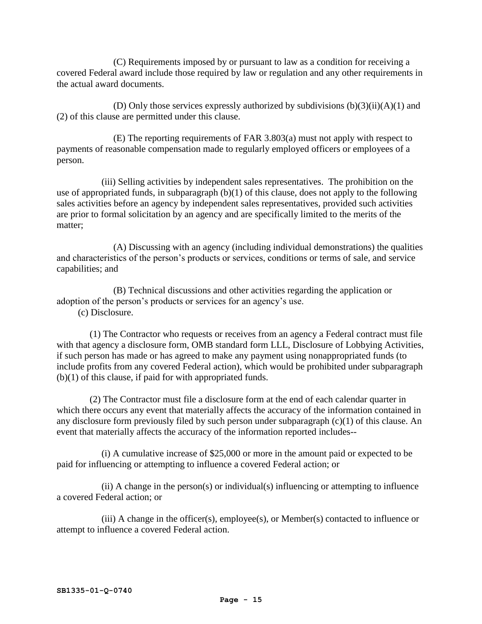(C) Requirements imposed by or pursuant to law as a condition for receiving a covered Federal award include those required by law or regulation and any other requirements in the actual award documents.

(D) Only those services expressly authorized by subdivisions  $(b)(3)(ii)(A)(1)$  and (2) of this clause are permitted under this clause.

 (E) The reporting requirements of FAR 3.803(a) must not apply with respect to payments of reasonable compensation made to regularly employed officers or employees of a person.

 (iii) Selling activities by independent sales representatives. The prohibition on the use of appropriated funds, in subparagraph (b)(1) of this clause, does not apply to the following sales activities before an agency by independent sales representatives, provided such activities are prior to formal solicitation by an agency and are specifically limited to the merits of the matter;

 (A) Discussing with an agency (including individual demonstrations) the qualities and characteristics of the person's products or services, conditions or terms of sale, and service capabilities; and

 (B) Technical discussions and other activities regarding the application or adoption of the person's products or services for an agency's use. (c) Disclosure.

 (1) The Contractor who requests or receives from an agency a Federal contract must file with that agency a disclosure form, OMB standard form LLL, Disclosure of Lobbying Activities, if such person has made or has agreed to make any payment using nonappropriated funds (to include profits from any covered Federal action), which would be prohibited under subparagraph (b)(1) of this clause, if paid for with appropriated funds.

 (2) The Contractor must file a disclosure form at the end of each calendar quarter in which there occurs any event that materially affects the accuracy of the information contained in any disclosure form previously filed by such person under subparagraph (c)(1) of this clause. An event that materially affects the accuracy of the information reported includes--

 (i) A cumulative increase of \$25,000 or more in the amount paid or expected to be paid for influencing or attempting to influence a covered Federal action; or

 (ii) A change in the person(s) or individual(s) influencing or attempting to influence a covered Federal action; or

 (iii) A change in the officer(s), employee(s), or Member(s) contacted to influence or attempt to influence a covered Federal action.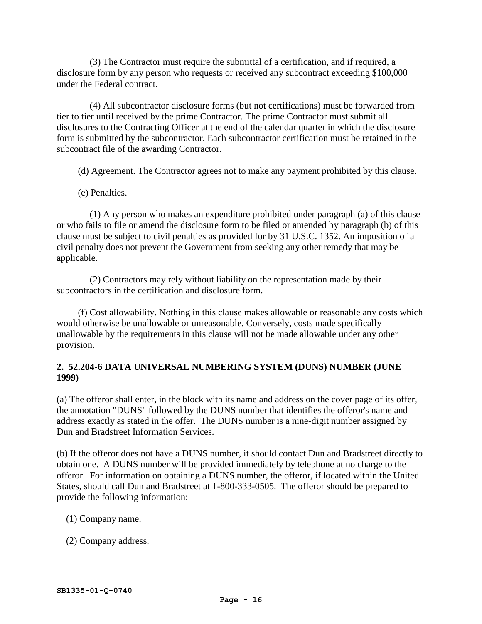(3) The Contractor must require the submittal of a certification, and if required, a disclosure form by any person who requests or received any subcontract exceeding \$100,000 under the Federal contract.

 (4) All subcontractor disclosure forms (but not certifications) must be forwarded from tier to tier until received by the prime Contractor. The prime Contractor must submit all disclosures to the Contracting Officer at the end of the calendar quarter in which the disclosure form is submitted by the subcontractor. Each subcontractor certification must be retained in the subcontract file of the awarding Contractor.

(d) Agreement. The Contractor agrees not to make any payment prohibited by this clause.

(e) Penalties.

 (1) Any person who makes an expenditure prohibited under paragraph (a) of this clause or who fails to file or amend the disclosure form to be filed or amended by paragraph (b) of this clause must be subject to civil penalties as provided for by 31 U.S.C. 1352. An imposition of a civil penalty does not prevent the Government from seeking any other remedy that may be applicable.

 (2) Contractors may rely without liability on the representation made by their subcontractors in the certification and disclosure form.

 (f) Cost allowability. Nothing in this clause makes allowable or reasonable any costs which would otherwise be unallowable or unreasonable. Conversely, costs made specifically unallowable by the requirements in this clause will not be made allowable under any other provision.

#### **2. 52.204-6 DATA UNIVERSAL NUMBERING SYSTEM (DUNS) NUMBER (JUNE 1999)**

(a) The offeror shall enter, in the block with its name and address on the cover page of its offer, the annotation "DUNS" followed by the DUNS number that identifies the offeror's name and address exactly as stated in the offer. The DUNS number is a nine-digit number assigned by Dun and Bradstreet Information Services.

(b) If the offeror does not have a DUNS number, it should contact Dun and Bradstreet directly to obtain one. A DUNS number will be provided immediately by telephone at no charge to the offeror. For information on obtaining a DUNS number, the offeror, if located within the United States, should call Dun and Bradstreet at 1-800-333-0505. The offeror should be prepared to provide the following information:

- (1) Company name.
- (2) Company address.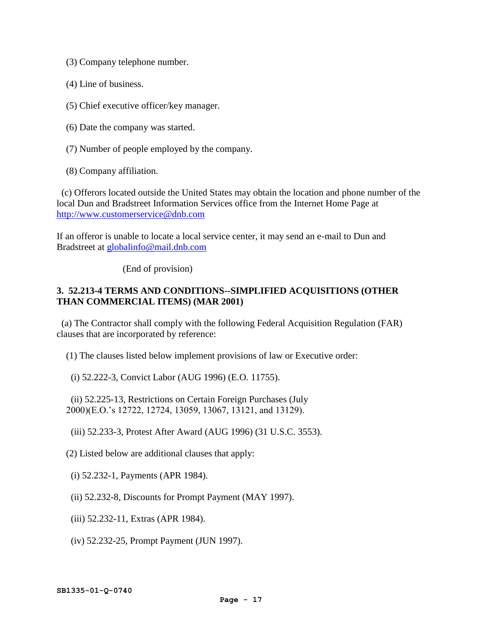(3) Company telephone number.

- (4) Line of business.
- (5) Chief executive officer/key manager.
- (6) Date the company was started.
- (7) Number of people employed by the company.
- (8) Company affiliation.

 (c) Offerors located outside the United States may obtain the location and phone number of the local Dun and Bradstreet Information Services office from the Internet Home Page at [http://www.customerservice@dnb.com](http://www.customerservice@dnb.com/)

If an offeror is unable to locate a local service center, it may send an e-mail to Dun and Bradstreet at [globalinfo@mail.dnb.com](mailto:globalinfo@mail.dnb.com)

(End of provision)

## **3. 52.213-4 TERMS AND CONDITIONS--SIMPLIFIED ACQUISITIONS (OTHER THAN COMMERCIAL ITEMS) (MAR 2001)**

 (a) The Contractor shall comply with the following Federal Acquisition Regulation (FAR) clauses that are incorporated by reference:

(1) The clauses listed below implement provisions of law or Executive order:

(i) 52.222-3, Convict Labor (AUG 1996) (E.O. 11755).

 (ii) 52.225-13, Restrictions on Certain Foreign Purchases (July 2000)(E.O.'s 12722, 12724, 13059, 13067, 13121, and 13129).

(iii) 52.233-3, Protest After Award (AUG 1996) (31 U.S.C. 3553).

(2) Listed below are additional clauses that apply:

(i) 52.232-1, Payments (APR 1984).

(ii) 52.232-8, Discounts for Prompt Payment (MAY 1997).

(iii) 52.232-11, Extras (APR 1984).

(iv) 52.232-25, Prompt Payment (JUN 1997).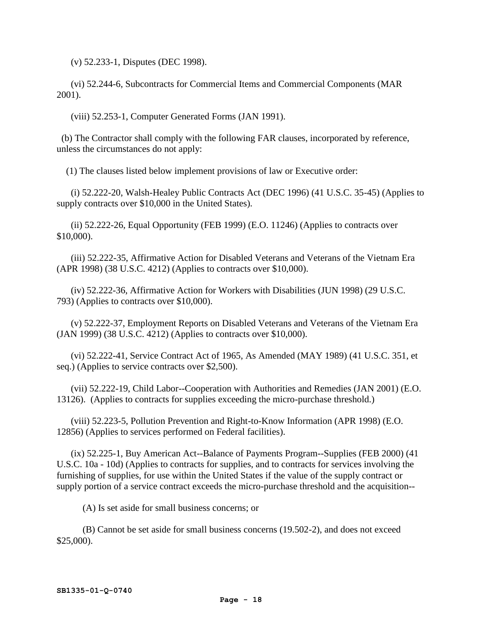(v) 52.233-1, Disputes (DEC 1998).

 (vi) 52.244-6, Subcontracts for Commercial Items and Commercial Components (MAR 2001).

(viii) 52.253-1, Computer Generated Forms (JAN 1991).

 (b) The Contractor shall comply with the following FAR clauses, incorporated by reference, unless the circumstances do not apply:

(1) The clauses listed below implement provisions of law or Executive order:

 (i) 52.222-20, Walsh-Healey Public Contracts Act (DEC 1996) (41 U.S.C. 35-45) (Applies to supply contracts over \$10,000 in the United States).

 (ii) 52.222-26, Equal Opportunity (FEB 1999) (E.O. 11246) (Applies to contracts over \$10,000).

 (iii) 52.222-35, Affirmative Action for Disabled Veterans and Veterans of the Vietnam Era (APR 1998) (38 U.S.C. 4212) (Applies to contracts over \$10,000).

 (iv) 52.222-36, Affirmative Action for Workers with Disabilities (JUN 1998) (29 U.S.C. 793) (Applies to contracts over \$10,000).

 (v) 52.222-37, Employment Reports on Disabled Veterans and Veterans of the Vietnam Era (JAN 1999) (38 U.S.C. 4212) (Applies to contracts over \$10,000).

 (vi) 52.222-41, Service Contract Act of 1965, As Amended (MAY 1989) (41 U.S.C. 351, et seq.) (Applies to service contracts over \$2,500).

 (vii) 52.222-19, Child Labor--Cooperation with Authorities and Remedies (JAN 2001) (E.O. 13126). (Applies to contracts for supplies exceeding the micro-purchase threshold.)

 (viii) 52.223-5, Pollution Prevention and Right-to-Know Information (APR 1998) (E.O. 12856) (Applies to services performed on Federal facilities).

 (ix) 52.225-1, Buy American Act--Balance of Payments Program--Supplies (FEB 2000) (41 U.S.C. 10a - 10d) (Applies to contracts for supplies, and to contracts for services involving the furnishing of supplies, for use within the United States if the value of the supply contract or supply portion of a service contract exceeds the micro-purchase threshold and the acquisition--

(A) Is set aside for small business concerns; or

 (B) Cannot be set aside for small business concerns (19.502-2), and does not exceed \$25,000).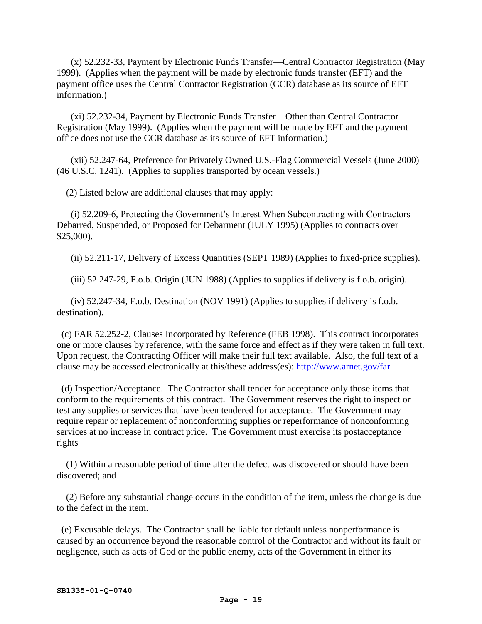(x) 52.232-33, Payment by Electronic Funds Transfer—Central Contractor Registration (May 1999). (Applies when the payment will be made by electronic funds transfer (EFT) and the payment office uses the Central Contractor Registration (CCR) database as its source of EFT information.)

 (xi) 52.232-34, Payment by Electronic Funds Transfer—Other than Central Contractor Registration (May 1999). (Applies when the payment will be made by EFT and the payment office does not use the CCR database as its source of EFT information.)

 (xii) 52.247-64, Preference for Privately Owned U.S.-Flag Commercial Vessels (June 2000) (46 U.S.C. 1241). (Applies to supplies transported by ocean vessels.)

(2) Listed below are additional clauses that may apply:

 (i) 52.209-6, Protecting the Government's Interest When Subcontracting with Contractors Debarred, Suspended, or Proposed for Debarment (JULY 1995) (Applies to contracts over \$25,000).

(ii) 52.211-17, Delivery of Excess Quantities (SEPT 1989) (Applies to fixed-price supplies).

(iii) 52.247-29, F.o.b. Origin (JUN 1988) (Applies to supplies if delivery is f.o.b. origin).

 (iv) 52.247-34, F.o.b. Destination (NOV 1991) (Applies to supplies if delivery is f.o.b. destination).

 (c) FAR 52.252-2, Clauses Incorporated by Reference (FEB 1998). This contract incorporates one or more clauses by reference, with the same force and effect as if they were taken in full text. Upon request, the Contracting Officer will make their full text available. Also, the full text of a clause may be accessed electronically at this/these address(es):<http://www.arnet.gov/far>

 (d) Inspection/Acceptance. The Contractor shall tender for acceptance only those items that conform to the requirements of this contract. The Government reserves the right to inspect or test any supplies or services that have been tendered for acceptance. The Government may require repair or replacement of nonconforming supplies or reperformance of nonconforming services at no increase in contract price. The Government must exercise its postacceptance rights—

 (1) Within a reasonable period of time after the defect was discovered or should have been discovered; and

 (2) Before any substantial change occurs in the condition of the item, unless the change is due to the defect in the item.

 (e) Excusable delays. The Contractor shall be liable for default unless nonperformance is caused by an occurrence beyond the reasonable control of the Contractor and without its fault or negligence, such as acts of God or the public enemy, acts of the Government in either its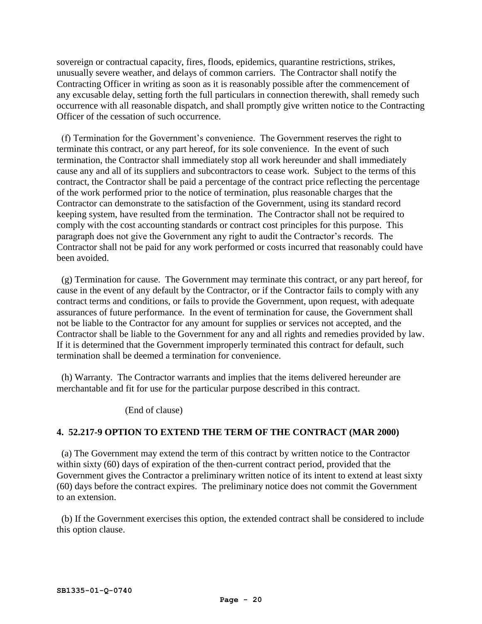sovereign or contractual capacity, fires, floods, epidemics, quarantine restrictions, strikes, unusually severe weather, and delays of common carriers. The Contractor shall notify the Contracting Officer in writing as soon as it is reasonably possible after the commencement of any excusable delay, setting forth the full particulars in connection therewith, shall remedy such occurrence with all reasonable dispatch, and shall promptly give written notice to the Contracting Officer of the cessation of such occurrence.

 (f) Termination for the Government's convenience. The Government reserves the right to terminate this contract, or any part hereof, for its sole convenience. In the event of such termination, the Contractor shall immediately stop all work hereunder and shall immediately cause any and all of its suppliers and subcontractors to cease work. Subject to the terms of this contract, the Contractor shall be paid a percentage of the contract price reflecting the percentage of the work performed prior to the notice of termination, plus reasonable charges that the Contractor can demonstrate to the satisfaction of the Government, using its standard record keeping system, have resulted from the termination. The Contractor shall not be required to comply with the cost accounting standards or contract cost principles for this purpose. This paragraph does not give the Government any right to audit the Contractor's records. The Contractor shall not be paid for any work performed or costs incurred that reasonably could have been avoided.

 (g) Termination for cause. The Government may terminate this contract, or any part hereof, for cause in the event of any default by the Contractor, or if the Contractor fails to comply with any contract terms and conditions, or fails to provide the Government, upon request, with adequate assurances of future performance. In the event of termination for cause, the Government shall not be liable to the Contractor for any amount for supplies or services not accepted, and the Contractor shall be liable to the Government for any and all rights and remedies provided by law. If it is determined that the Government improperly terminated this contract for default, such termination shall be deemed a termination for convenience.

 (h) Warranty. The Contractor warrants and implies that the items delivered hereunder are merchantable and fit for use for the particular purpose described in this contract.

(End of clause)

## **4. 52.217-9 OPTION TO EXTEND THE TERM OF THE CONTRACT (MAR 2000)**

 (a) The Government may extend the term of this contract by written notice to the Contractor within sixty (60) days of expiration of the then-current contract period, provided that the Government gives the Contractor a preliminary written notice of its intent to extend at least sixty (60) days before the contract expires. The preliminary notice does not commit the Government to an extension.

 (b) If the Government exercises this option, the extended contract shall be considered to include this option clause.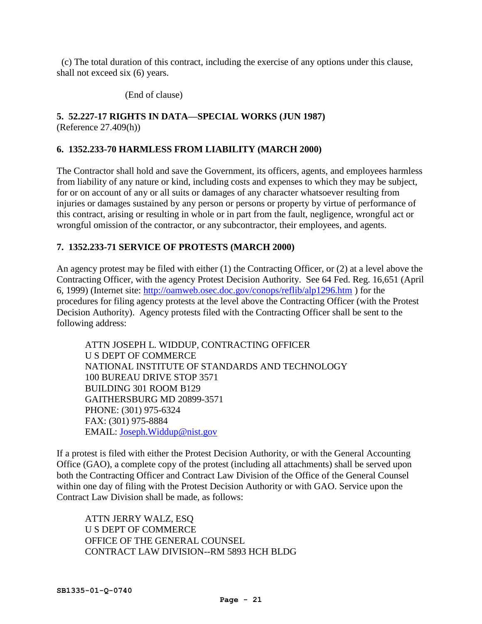(c) The total duration of this contract, including the exercise of any options under this clause, shall not exceed six (6) years.

(End of clause)

### **5. 52.227-17 RIGHTS IN DATA—SPECIAL WORKS (JUN 1987)** (Reference 27.409(h))

### **6. 1352.233-70 HARMLESS FROM LIABILITY (MARCH 2000)**

The Contractor shall hold and save the Government, its officers, agents, and employees harmless from liability of any nature or kind, including costs and expenses to which they may be subject, for or on account of any or all suits or damages of any character whatsoever resulting from injuries or damages sustained by any person or persons or property by virtue of performance of this contract, arising or resulting in whole or in part from the fault, negligence, wrongful act or wrongful omission of the contractor, or any subcontractor, their employees, and agents.

### **7. 1352.233-71 SERVICE OF PROTESTS (MARCH 2000)**

An agency protest may be filed with either (1) the Contracting Officer, or (2) at a level above the Contracting Officer, with the agency Protest Decision Authority. See 64 Fed. Reg. 16,651 (April 6, 1999) (Internet site:<http://oamweb.osec.doc.gov/conops/reflib/alp1296.htm> ) for the procedures for filing agency protests at the level above the Contracting Officer (with the Protest Decision Authority). Agency protests filed with the Contracting Officer shall be sent to the following address:

ATTN JOSEPH L. WIDDUP, CONTRACTING OFFICER U S DEPT OF COMMERCE NATIONAL INSTITUTE OF STANDARDS AND TECHNOLOGY 100 BUREAU DRIVE STOP 3571 BUILDING 301 ROOM B129 GAITHERSBURG MD 20899-3571 PHONE: (301) 975-6324 FAX: (301) 975-8884 EMAIL: [Joseph.Widdup@nist.gov](mailto:Joseph.Widdup@nist.gov)

If a protest is filed with either the Protest Decision Authority, or with the General Accounting Office (GAO), a complete copy of the protest (including all attachments) shall be served upon both the Contracting Officer and Contract Law Division of the Office of the General Counsel within one day of filing with the Protest Decision Authority or with GAO. Service upon the Contract Law Division shall be made, as follows:

ATTN JERRY WALZ, ESQ U S DEPT OF COMMERCE OFFICE OF THE GENERAL COUNSEL CONTRACT LAW DIVISION--RM 5893 HCH BLDG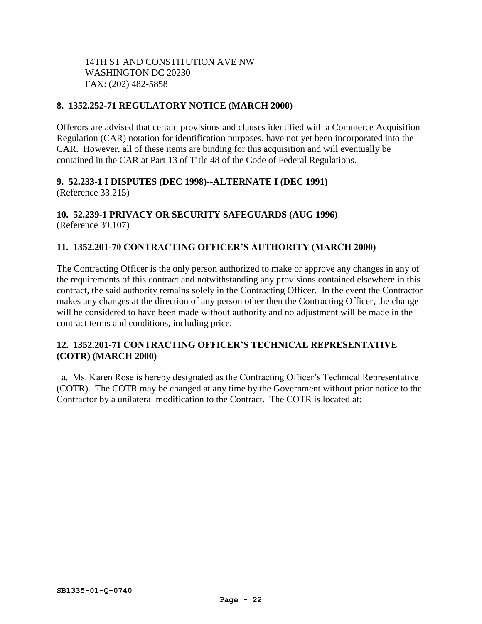### 14TH ST AND CONSTITUTION AVE NW WASHINGTON DC 20230 FAX: (202) 482-5858

### **8. 1352.252-71 REGULATORY NOTICE (MARCH 2000)**

Offerors are advised that certain provisions and clauses identified with a Commerce Acquisition Regulation (CAR) notation for identification purposes, have not yet been incorporated into the CAR. However, all of these items are binding for this acquisition and will eventually be contained in the CAR at Part 13 of Title 48 of the Code of Federal Regulations.

### **9. 52.233-1 I DISPUTES (DEC 1998)--ALTERNATE I (DEC 1991)** (Reference 33.215)

### **10. 52.239-1 PRIVACY OR SECURITY SAFEGUARDS (AUG 1996)** (Reference 39.107)

## **11. 1352.201-70 CONTRACTING OFFICER'S AUTHORITY (MARCH 2000)**

The Contracting Officer is the only person authorized to make or approve any changes in any of the requirements of this contract and notwithstanding any provisions contained elsewhere in this contract, the said authority remains solely in the Contracting Officer. In the event the Contractor makes any changes at the direction of any person other then the Contracting Officer, the change will be considered to have been made without authority and no adjustment will be made in the contract terms and conditions, including price.

## **12. 1352.201-71 CONTRACTING OFFICER'S TECHNICAL REPRESENTATIVE (COTR) (MARCH 2000)**

 a. Ms. Karen Rose is hereby designated as the Contracting Officer's Technical Representative (COTR). The COTR may be changed at any time by the Government without prior notice to the Contractor by a unilateral modification to the Contract. The COTR is located at: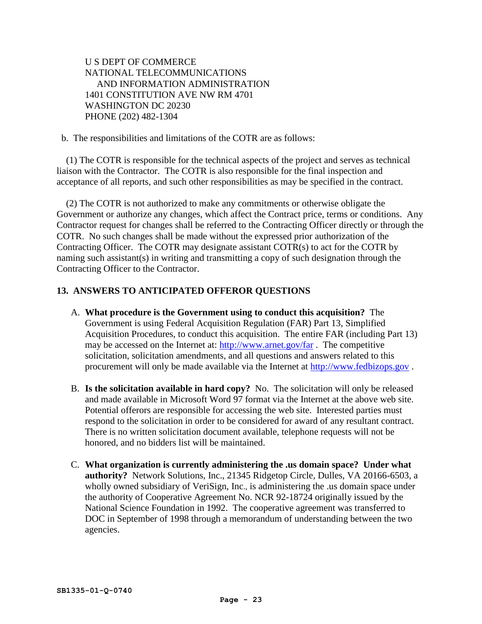U S DEPT OF COMMERCE NATIONAL TELECOMMUNICATIONS AND INFORMATION ADMINISTRATION 1401 CONSTITUTION AVE NW RM 4701 WASHINGTON DC 20230 PHONE (202) 482-1304

b. The responsibilities and limitations of the COTR are as follows:

 (1) The COTR is responsible for the technical aspects of the project and serves as technical liaison with the Contractor. The COTR is also responsible for the final inspection and acceptance of all reports, and such other responsibilities as may be specified in the contract.

 (2) The COTR is not authorized to make any commitments or otherwise obligate the Government or authorize any changes, which affect the Contract price, terms or conditions. Any Contractor request for changes shall be referred to the Contracting Officer directly or through the COTR. No such changes shall be made without the expressed prior authorization of the Contracting Officer. The COTR may designate assistant COTR(s) to act for the COTR by naming such assistant(s) in writing and transmitting a copy of such designation through the Contracting Officer to the Contractor.

### **13. ANSWERS TO ANTICIPATED OFFEROR QUESTIONS**

- A. **What procedure is the Government using to conduct this acquisition?** The Government is using Federal Acquisition Regulation (FAR) Part 13, Simplified Acquisition Procedures, to conduct this acquisition. The entire FAR (including Part 13) may be accessed on the Internet at:<http://www.arnet.gov/far> . The competitive solicitation, solicitation amendments, and all questions and answers related to this procurement will only be made available via the Internet at [http://www.fedbizops.gov](http://www.fedbizops.gov/) .
- B. **Is the solicitation available in hard copy?** No. The solicitation will only be released and made available in Microsoft Word 97 format via the Internet at the above web site. Potential offerors are responsible for accessing the web site. Interested parties must respond to the solicitation in order to be considered for award of any resultant contract. There is no written solicitation document available, telephone requests will not be honored, and no bidders list will be maintained.
- C. **What organization is currently administering the .us domain space? Under what authority?** Network Solutions, Inc., 21345 Ridgetop Circle, Dulles, VA 20166-6503, a wholly owned subsidiary of VeriSign, Inc., is administering the .us domain space under the authority of Cooperative Agreement No. NCR 92-18724 originally issued by the National Science Foundation in 1992. The cooperative agreement was transferred to DOC in September of 1998 through a memorandum of understanding between the two agencies.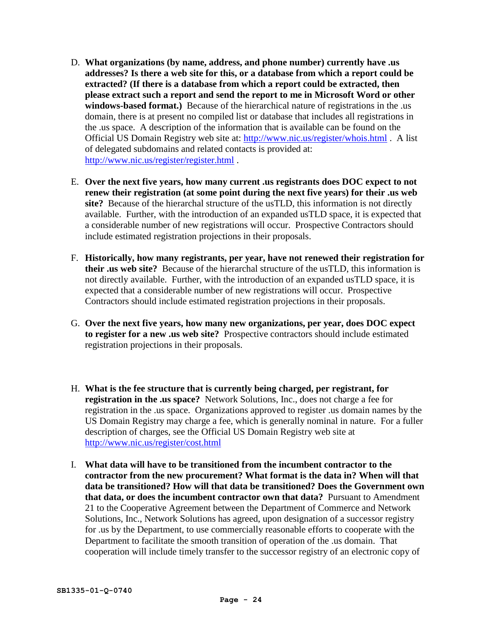- D. **What organizations (by name, address, and phone number) currently have .us addresses? Is there a web site for this, or a database from which a report could be extracted? (If there is a database from which a report could be extracted, then please extract such a report and send the report to me in Microsoft Word or other windows-based format.)** Because of the hierarchical nature of registrations in the .us domain, there is at present no compiled list or database that includes all registrations in the .us space. A description of the information that is available can be found on the Official US Domain Registry web site at:<http://www.nic.us/register/whois.html> . A list of delegated subdomains and related contacts is provided at: <http://www.nic.us/register/register.html> .
- E. **Over the next five years, how many current .us registrants does DOC expect to not renew their registration (at some point during the next five years) for their .us web site?** Because of the hierarchal structure of the usTLD, this information is not directly available. Further, with the introduction of an expanded usTLD space, it is expected that a considerable number of new registrations will occur. Prospective Contractors should include estimated registration projections in their proposals.
- F. **Historically, how many registrants, per year, have not renewed their registration for their .us web site?** Because of the hierarchal structure of the usTLD, this information is not directly available. Further, with the introduction of an expanded usTLD space, it is expected that a considerable number of new registrations will occur. Prospective Contractors should include estimated registration projections in their proposals.
- G. **Over the next five years, how many new organizations, per year, does DOC expect to register for a new .us web site?** Prospective contractors should include estimated registration projections in their proposals.
- H. **What is the fee structure that is currently being charged, per registrant, for registration in the .us space?** Network Solutions, Inc., does not charge a fee for registration in the .us space. Organizations approved to register .us domain names by the US Domain Registry may charge a fee, which is generally nominal in nature. For a fuller description of charges, see the Official US Domain Registry web site at <http://www.nic.us/register/cost.html>
- I. **What data will have to be transitioned from the incumbent contractor to the contractor from the new procurement? What format is the data in? When will that data be transitioned? How will that data be transitioned? Does the Government own that data, or does the incumbent contractor own that data?** Pursuant to Amendment 21 to the Cooperative Agreement between the Department of Commerce and Network Solutions, Inc., Network Solutions has agreed, upon designation of a successor registry for .us by the Department, to use commercially reasonable efforts to cooperate with the Department to facilitate the smooth transition of operation of the .us domain. That cooperation will include timely transfer to the successor registry of an electronic copy of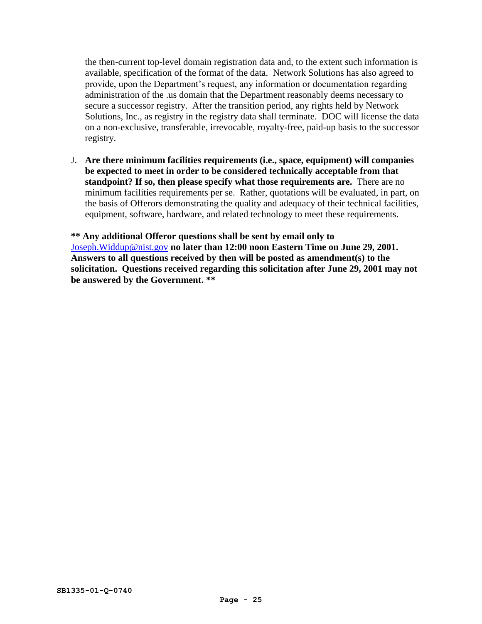the then-current top-level domain registration data and, to the extent such information is available, specification of the format of the data. Network Solutions has also agreed to provide, upon the Department's request, any information or documentation regarding administration of the .us domain that the Department reasonably deems necessary to secure a successor registry. After the transition period, any rights held by Network Solutions, Inc., as registry in the registry data shall terminate. DOC will license the data on a non-exclusive, transferable, irrevocable, royalty-free, paid-up basis to the successor registry.

J. **Are there minimum facilities requirements (i.e., space, equipment) will companies be expected to meet in order to be considered technically acceptable from that standpoint? If so, then please specify what those requirements are.** There are no minimum facilities requirements per se. Rather, quotations will be evaluated, in part, on the basis of Offerors demonstrating the quality and adequacy of their technical facilities, equipment, software, hardware, and related technology to meet these requirements.

**\*\* Any additional Offeror questions shall be sent by email only to**  [Joseph.Widdup@nist.gov](mailto:Joseph.Widdup@nist.gov) **no later than 12:00 noon Eastern Time on June 29, 2001. Answers to all questions received by then will be posted as amendment(s) to the solicitation. Questions received regarding this solicitation after June 29, 2001 may not be answered by the Government. \*\***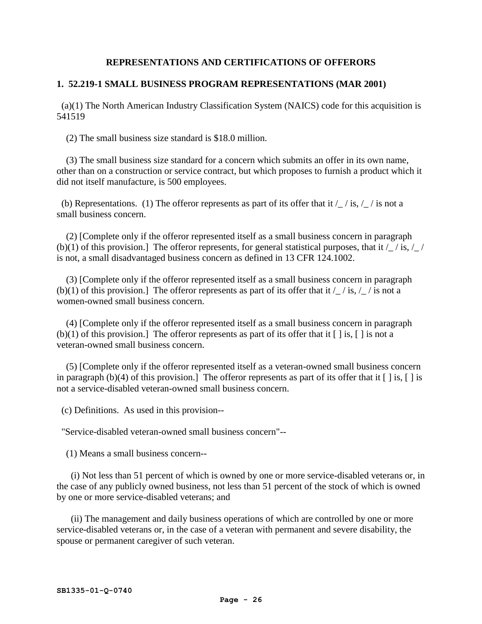#### **REPRESENTATIONS AND CERTIFICATIONS OF OFFERORS**

#### **1. 52.219-1 SMALL BUSINESS PROGRAM REPRESENTATIONS (MAR 2001)**

 (a)(1) The North American Industry Classification System (NAICS) code for this acquisition is 541519

(2) The small business size standard is \$18.0 million.

 (3) The small business size standard for a concern which submits an offer in its own name, other than on a construction or service contract, but which proposes to furnish a product which it did not itself manufacture, is 500 employees.

(b) Representations. (1) The offeror represents as part of its offer that it  $/$  is,  $/$  is not a small business concern.

 (2) [Complete only if the offeror represented itself as a small business concern in paragraph (b)(1) of this provision.] The offeror represents, for general statistical purposes, that it  $/$  / is,  $/$ is not, a small disadvantaged business concern as defined in 13 CFR 124.1002.

 (3) [Complete only if the offeror represented itself as a small business concern in paragraph (b)(1) of this provision.] The offeror represents as part of its offer that it / / is, / / is not a women-owned small business concern.

 (4) [Complete only if the offeror represented itself as a small business concern in paragraph (b)(1) of this provision.] The offeror represents as part of its offer that it  $\lceil \cdot \rceil$  is,  $\lceil \cdot \rceil$  is not a veteran-owned small business concern.

 (5) [Complete only if the offeror represented itself as a veteran-owned small business concern in paragraph (b)(4) of this provision.] The offeror represents as part of its offer that it  $\lceil \cdot \rceil$  is,  $\lceil \cdot \rceil$  is not a service-disabled veteran-owned small business concern.

(c) Definitions. As used in this provision--

"Service-disabled veteran-owned small business concern"--

(1) Means a small business concern--

 (i) Not less than 51 percent of which is owned by one or more service-disabled veterans or, in the case of any publicly owned business, not less than 51 percent of the stock of which is owned by one or more service-disabled veterans; and

 (ii) The management and daily business operations of which are controlled by one or more service-disabled veterans or, in the case of a veteran with permanent and severe disability, the spouse or permanent caregiver of such veteran.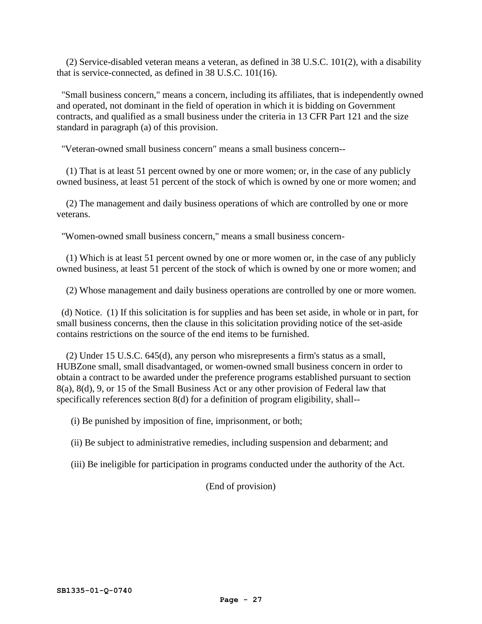(2) Service-disabled veteran means a veteran, as defined in 38 U.S.C. 101(2), with a disability that is service-connected, as defined in 38 U.S.C. 101(16).

 "Small business concern," means a concern, including its affiliates, that is independently owned and operated, not dominant in the field of operation in which it is bidding on Government contracts, and qualified as a small business under the criteria in 13 CFR Part 121 and the size standard in paragraph (a) of this provision.

"Veteran-owned small business concern" means a small business concern--

 (1) That is at least 51 percent owned by one or more women; or, in the case of any publicly owned business, at least 51 percent of the stock of which is owned by one or more women; and

 (2) The management and daily business operations of which are controlled by one or more veterans.

"Women-owned small business concern," means a small business concern-

 (1) Which is at least 51 percent owned by one or more women or, in the case of any publicly owned business, at least 51 percent of the stock of which is owned by one or more women; and

(2) Whose management and daily business operations are controlled by one or more women.

 (d) Notice. (1) If this solicitation is for supplies and has been set aside, in whole or in part, for small business concerns, then the clause in this solicitation providing notice of the set-aside contains restrictions on the source of the end items to be furnished.

 (2) Under 15 U.S.C. 645(d), any person who misrepresents a firm's status as a small, HUBZone small, small disadvantaged, or women-owned small business concern in order to obtain a contract to be awarded under the preference programs established pursuant to section 8(a), 8(d), 9, or 15 of the Small Business Act or any other provision of Federal law that specifically references section 8(d) for a definition of program eligibility, shall--

(i) Be punished by imposition of fine, imprisonment, or both;

(ii) Be subject to administrative remedies, including suspension and debarment; and

(iii) Be ineligible for participation in programs conducted under the authority of the Act.

(End of provision)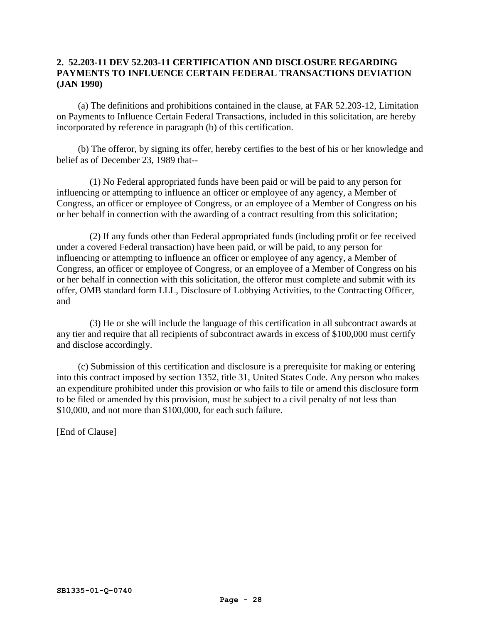### **2. 52.203-11 DEV 52.203-11 CERTIFICATION AND DISCLOSURE REGARDING PAYMENTS TO INFLUENCE CERTAIN FEDERAL TRANSACTIONS DEVIATION (JAN 1990)**

 (a) The definitions and prohibitions contained in the clause, at FAR 52.203-12, Limitation on Payments to Influence Certain Federal Transactions, included in this solicitation, are hereby incorporated by reference in paragraph (b) of this certification.

 (b) The offeror, by signing its offer, hereby certifies to the best of his or her knowledge and belief as of December 23, 1989 that--

 (1) No Federal appropriated funds have been paid or will be paid to any person for influencing or attempting to influence an officer or employee of any agency, a Member of Congress, an officer or employee of Congress, or an employee of a Member of Congress on his or her behalf in connection with the awarding of a contract resulting from this solicitation;

 (2) If any funds other than Federal appropriated funds (including profit or fee received under a covered Federal transaction) have been paid, or will be paid, to any person for influencing or attempting to influence an officer or employee of any agency, a Member of Congress, an officer or employee of Congress, or an employee of a Member of Congress on his or her behalf in connection with this solicitation, the offeror must complete and submit with its offer, OMB standard form LLL, Disclosure of Lobbying Activities, to the Contracting Officer, and

 (3) He or she will include the language of this certification in all subcontract awards at any tier and require that all recipients of subcontract awards in excess of \$100,000 must certify and disclose accordingly.

 (c) Submission of this certification and disclosure is a prerequisite for making or entering into this contract imposed by section 1352, title 31, United States Code. Any person who makes an expenditure prohibited under this provision or who fails to file or amend this disclosure form to be filed or amended by this provision, must be subject to a civil penalty of not less than \$10,000, and not more than \$100,000, for each such failure.

[End of Clause]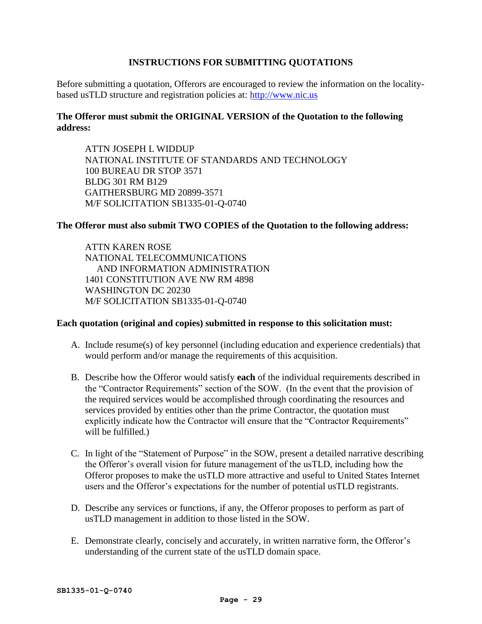#### **INSTRUCTIONS FOR SUBMITTING QUOTATIONS**

Before submitting a quotation, Offerors are encouraged to review the information on the localitybased usTLD structure and registration policies at: [http://www.nic.us](http://www.nic.us/)

#### **The Offeror must submit the ORIGINAL VERSION of the Quotation to the following address:**

ATTN JOSEPH L WIDDUP NATIONAL INSTITUTE OF STANDARDS AND TECHNOLOGY 100 BUREAU DR STOP 3571 BLDG 301 RM B129 GAITHERSBURG MD 20899-3571 M/F SOLICITATION SB1335-01-Q-0740

#### **The Offeror must also submit TWO COPIES of the Quotation to the following address:**

ATTN KAREN ROSE NATIONAL TELECOMMUNICATIONS AND INFORMATION ADMINISTRATION 1401 CONSTITUTION AVE NW RM 4898 WASHINGTON DC 20230 M/F SOLICITATION SB1335-01-Q-0740

#### **Each quotation (original and copies) submitted in response to this solicitation must:**

- A. Include resume(s) of key personnel (including education and experience credentials) that would perform and/or manage the requirements of this acquisition.
- B. Describe how the Offeror would satisfy **each** of the individual requirements described in the "Contractor Requirements" section of the SOW. (In the event that the provision of the required services would be accomplished through coordinating the resources and services provided by entities other than the prime Contractor, the quotation must explicitly indicate how the Contractor will ensure that the "Contractor Requirements" will be fulfilled.)
- C. In light of the "Statement of Purpose" in the SOW, present a detailed narrative describing the Offeror's overall vision for future management of the usTLD, including how the Offeror proposes to make the usTLD more attractive and useful to United States Internet users and the Offeror's expectations for the number of potential usTLD registrants.
- D. Describe any services or functions, if any, the Offeror proposes to perform as part of usTLD management in addition to those listed in the SOW.
- E. Demonstrate clearly, concisely and accurately, in written narrative form, the Offeror's understanding of the current state of the usTLD domain space.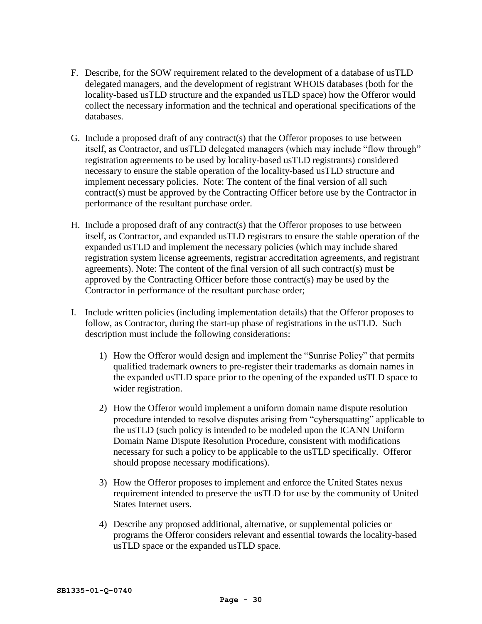- F. Describe, for the SOW requirement related to the development of a database of usTLD delegated managers, and the development of registrant WHOIS databases (both for the locality-based usTLD structure and the expanded usTLD space) how the Offeror would collect the necessary information and the technical and operational specifications of the databases.
- G. Include a proposed draft of any contract(s) that the Offeror proposes to use between itself, as Contractor, and usTLD delegated managers (which may include "flow through" registration agreements to be used by locality-based usTLD registrants) considered necessary to ensure the stable operation of the locality-based usTLD structure and implement necessary policies. Note: The content of the final version of all such contract(s) must be approved by the Contracting Officer before use by the Contractor in performance of the resultant purchase order.
- H. Include a proposed draft of any contract(s) that the Offeror proposes to use between itself, as Contractor, and expanded usTLD registrars to ensure the stable operation of the expanded usTLD and implement the necessary policies (which may include shared registration system license agreements, registrar accreditation agreements, and registrant agreements). Note: The content of the final version of all such contract(s) must be approved by the Contracting Officer before those contract(s) may be used by the Contractor in performance of the resultant purchase order;
- I. Include written policies (including implementation details) that the Offeror proposes to follow, as Contractor, during the start-up phase of registrations in the usTLD. Such description must include the following considerations:
	- 1) How the Offeror would design and implement the "Sunrise Policy" that permits qualified trademark owners to pre-register their trademarks as domain names in the expanded usTLD space prior to the opening of the expanded usTLD space to wider registration.
	- 2) How the Offeror would implement a uniform domain name dispute resolution procedure intended to resolve disputes arising from "cybersquatting" applicable to the usTLD (such policy is intended to be modeled upon the ICANN Uniform Domain Name Dispute Resolution Procedure, consistent with modifications necessary for such a policy to be applicable to the usTLD specifically. Offeror should propose necessary modifications).
	- 3) How the Offeror proposes to implement and enforce the United States nexus requirement intended to preserve the usTLD for use by the community of United States Internet users.
	- 4) Describe any proposed additional, alternative, or supplemental policies or programs the Offeror considers relevant and essential towards the locality-based usTLD space or the expanded usTLD space.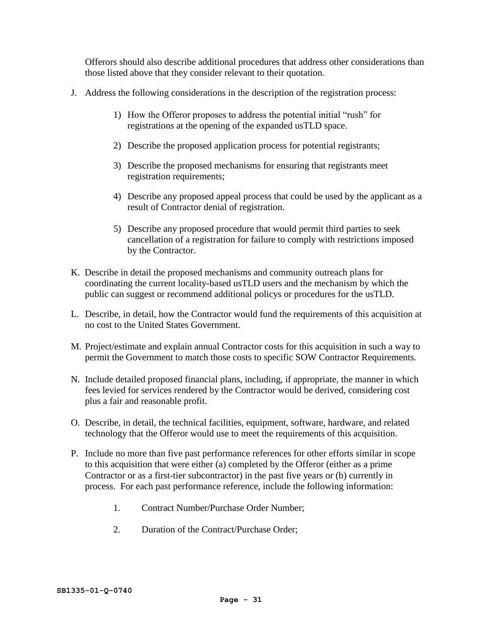Offerors should also describe additional procedures that address other considerations than those listed above that they consider relevant to their quotation.

- J. Address the following considerations in the description of the registration process:
	- 1) How the Offeror proposes to address the potential initial "rush" for registrations at the opening of the expanded usTLD space.
	- 2) Describe the proposed application process for potential registrants;
	- 3) Describe the proposed mechanisms for ensuring that registrants meet registration requirements;
	- 4) Describe any proposed appeal process that could be used by the applicant as a result of Contractor denial of registration.
	- 5) Describe any proposed procedure that would permit third parties to seek cancellation of a registration for failure to comply with restrictions imposed by the Contractor.
- K. Describe in detail the proposed mechanisms and community outreach plans for coordinating the current locality-based usTLD users and the mechanism by which the public can suggest or recommend additional policys or procedures for the usTLD.
- L. Describe, in detail, how the Contractor would fund the requirements of this acquisition at no cost to the United States Government.
- M. Project/estimate and explain annual Contractor costs for this acquisition in such a way to permit the Government to match those costs to specific SOW Contractor Requirements.
- N. Include detailed proposed financial plans, including, if appropriate, the manner in which fees levied for services rendered by the Contractor would be derived, considering cost plus a fair and reasonable profit.
- O. Describe, in detail, the technical facilities, equipment, software, hardware, and related technology that the Offeror would use to meet the requirements of this acquisition.
- P. Include no more than five past performance references for other efforts similar in scope to this acquisition that were either (a) completed by the Offeror (either as a prime Contractor or as a first-tier subcontractor) in the past five years or (b) currently in process. For each past performance reference, include the following information:
	- 1. Contract Number/Purchase Order Number;
	- 2. Duration of the Contract/Purchase Order;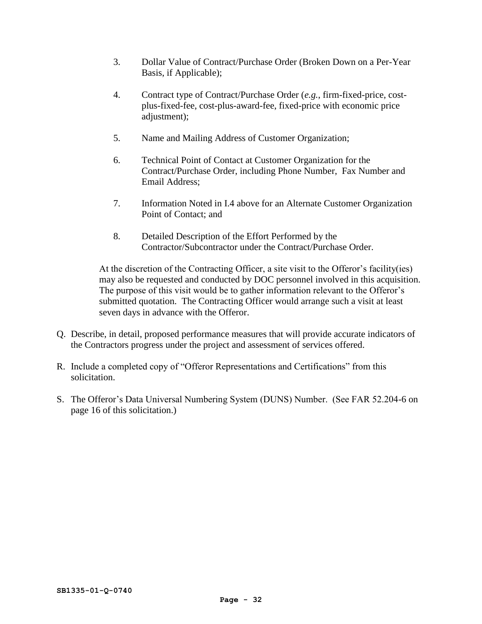- 3. Dollar Value of Contract/Purchase Order (Broken Down on a Per-Year Basis, if Applicable);
- 4. Contract type of Contract/Purchase Order (*e.g.*, firm-fixed-price, costplus-fixed-fee, cost-plus-award-fee, fixed-price with economic price adjustment);
- 5. Name and Mailing Address of Customer Organization;
- 6. Technical Point of Contact at Customer Organization for the Contract/Purchase Order, including Phone Number, Fax Number and Email Address;
- 7. Information Noted in I.4 above for an Alternate Customer Organization Point of Contact; and
- 8. Detailed Description of the Effort Performed by the Contractor/Subcontractor under the Contract/Purchase Order.

At the discretion of the Contracting Officer, a site visit to the Offeror's facility(ies) may also be requested and conducted by DOC personnel involved in this acquisition. The purpose of this visit would be to gather information relevant to the Offeror's submitted quotation. The Contracting Officer would arrange such a visit at least seven days in advance with the Offeror.

- Q. Describe, in detail, proposed performance measures that will provide accurate indicators of the Contractors progress under the project and assessment of services offered.
- R. Include a completed copy of "Offeror Representations and Certifications" from this solicitation.
- S. The Offeror's Data Universal Numbering System (DUNS) Number. (See FAR 52.204-6 on page 16 of this solicitation.)